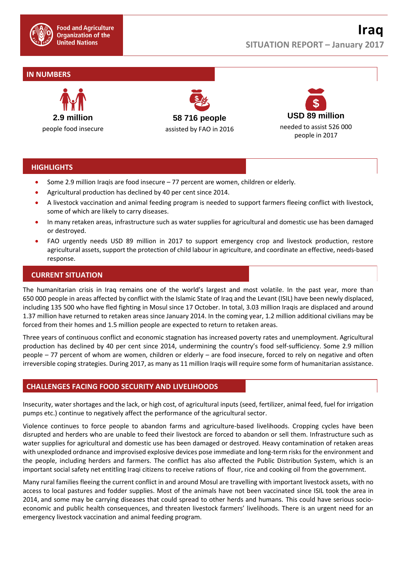

# **IN NUMBERS**



**58 716 people** assisted by FAO in 2016



## **HIGHLIGHTS**

- Some 2.9 million Iraqis are food insecure 77 percent are women, children or elderly.
- Agricultural production has declined by 40 per cent since 2014.
- A livestock vaccination and animal feeding program is needed to support farmers fleeing conflict with livestock, some of which are likely to carry diseases.
- In many retaken areas, infrastructure such as water supplies for agricultural and domestic use has been damaged or destroyed.
- FAO urgently needs USD 89 million in 2017 to support emergency crop and livestock production, restore agricultural assets, support the protection of child labour in agriculture, and coordinate an effective, needs-based response.

## **CURRENT SITUATION**

The humanitarian crisis in Iraq remains one of the world's largest and most volatile. In the past year, more than 650 000 people in areas affected by conflict with the Islamic State of Iraq and the Levant (ISIL) have been newly displaced, including 135 500 who have fled fighting in Mosul since 17 October. In total, 3.03 million Iraqis are displaced and around 1.37 million have returned to retaken areas since January 2014. In the coming year, 1.2 million additional civilians may be forced from their homes and 1.5 million people are expected to return to retaken areas.

Three years of continuous conflict and economic stagnation has increased poverty rates and unemployment. Agricultural production has declined by 40 per cent since 2014, undermining the country's food self-sufficiency. Some 2.9 million people – 77 percent of whom are women, children or elderly – are food insecure, forced to rely on negative and often irreversible coping strategies. During 2017, as many as 11 million Iraqis will require some form of humanitarian assistance.

### **CHALLENGES FACING FOOD SECURITY AND LIVELIHOODS**

Insecurity, water shortages and the lack, or high cost, of agricultural inputs (seed, fertilizer, animal feed, fuel for irrigation pumps etc.) continue to negatively affect the performance of the agricultural sector.

Violence continues to force people to abandon farms and agriculture-based livelihoods. Cropping cycles have been disrupted and herders who are unable to feed their livestock are forced to abandon or sell them. Infrastructure such as water supplies for agricultural and domestic use has been damaged or destroyed. Heavy contamination of retaken areas with unexploded ordnance and improvised explosive devices pose immediate and long-term risks for the environment and the people, including herders and farmers. The conflict has also affected the Public Distribution System, which is an important social safety net entitling Iraqi citizens to receive rations of flour, rice and cooking oil from the government.

Many rural families fleeing the current conflict in and around Mosul are travelling with important livestock assets, with no access to local pastures and fodder supplies. Most of the animals have not been vaccinated since ISIL took the area in 2014, and some may be carrying diseases that could spread to other herds and humans. This could have serious socioeconomic and public health consequences, and threaten livestock farmers' livelihoods. There is an urgent need for an emergency livestock vaccination and animal feeding program.